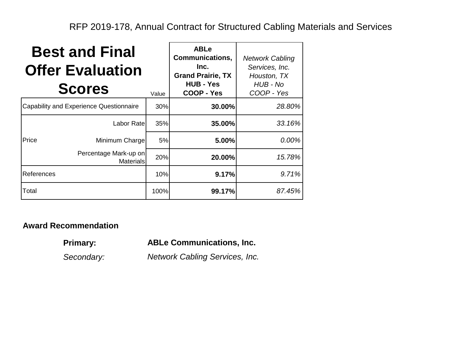RFP 2019-178, Annual Contract for Structured Cabling Materials and Services

| <b>Best and Final</b><br><b>Offer Evaluation</b><br><b>Scores</b><br>Value |                                           |      | <b>ABLe</b><br><b>Communications,</b><br>Inc.<br><b>Grand Prairie, TX</b><br><b>HUB - Yes</b><br><b>COOP - Yes</b> | <b>Network Cabling</b><br>Services, Inc.<br>Houston, TX<br>HUB - No<br>COOP - Yes |
|----------------------------------------------------------------------------|-------------------------------------------|------|--------------------------------------------------------------------------------------------------------------------|-----------------------------------------------------------------------------------|
| Capability and Experience Questionnaire                                    |                                           | 30%  | 30.00%                                                                                                             | 28.80%                                                                            |
|                                                                            | Labor Ratel                               | 35%  | 35.00%                                                                                                             | 33.16%                                                                            |
| Price                                                                      | Minimum Charge                            | 5%   | 5.00%                                                                                                              | 0.00%                                                                             |
|                                                                            | Percentage Mark-up on<br><b>Materials</b> | 20%  | 20.00%                                                                                                             | 15.78%                                                                            |
| References                                                                 |                                           | 10%  | 9.17%                                                                                                              | 9.71%                                                                             |
| Total                                                                      |                                           | 100% | 99.17%                                                                                                             | 87.45%                                                                            |

## **Award Recommendation**

**Primary:**

**ABLe Communications, Inc.**

*Secondary:*

*Network Cabling Services, Inc.*